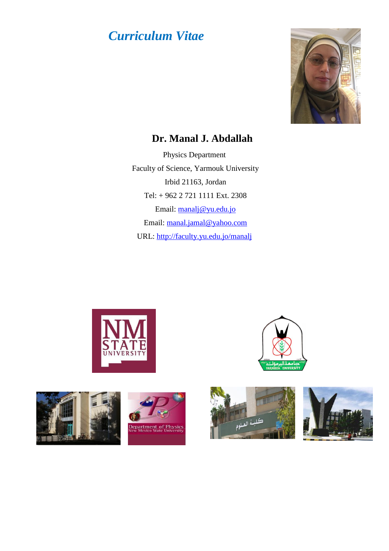## *Curriculum Vitae*



## **Dr. Manal J. Abdallah**

Physics Department Faculty of Science, Yarmouk University Irbid 21163, Jordan Tel: + 962 2 721 1111 Ext. 2308 Email: [manalj@yu.edu.jo](mailto:manalj@yu.edu.jo) Email: [manal.jamal@yahoo.com](mailto:manal.jamal@yahoo.com) URL:<http://faculty.yu.edu.jo/manalj>









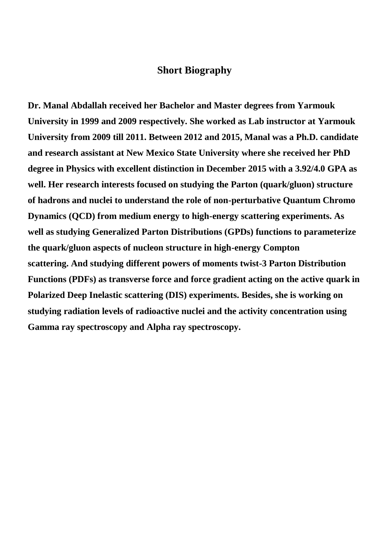## **Short Biography**

**Dr. Manal Abdallah received her Bachelor and Master degrees from Yarmouk University in 1999 and 2009 respectively. She worked as Lab instructor at Yarmouk University from 2009 till 2011. Between 2012 and 2015, Manal was a Ph.D. candidate and research assistant at New Mexico State University where she received her PhD degree in Physics with excellent distinction in December 2015 with a 3.92/4.0 GPA as well. Her research interests focused on studying the Parton (quark/gluon) structure of hadrons and nuclei to understand the role of non-perturbative Quantum Chromo Dynamics (QCD) from medium energy to high-energy scattering experiments. As well as studying Generalized Parton Distributions (GPDs) functions to parameterize the quark/gluon aspects of nucleon structure in high-energy Compton scattering. And studying different powers of moments twist-3 Parton Distribution Functions (PDFs) as transverse force and force gradient acting on the active quark in Polarized Deep Inelastic scattering (DIS) experiments. Besides, she is working on studying radiation levels of radioactive nuclei and the activity concentration using Gamma ray spectroscopy and Alpha ray spectroscopy.**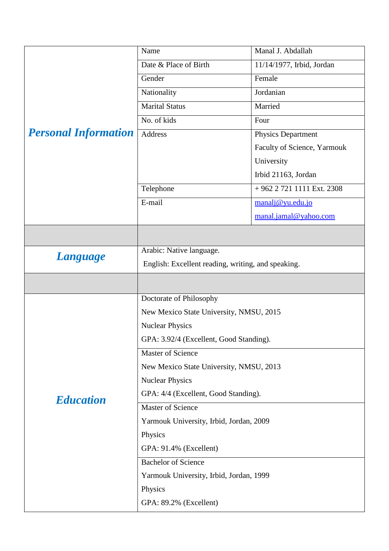| <b>Personal Information</b> | Name                                               | Manal J. Abdallah           |
|-----------------------------|----------------------------------------------------|-----------------------------|
|                             | Date & Place of Birth                              | 11/14/1977, Irbid, Jordan   |
|                             | Gender                                             | Female                      |
|                             | Nationality                                        | Jordanian                   |
|                             | <b>Marital Status</b>                              | Married                     |
|                             | No. of kids                                        | Four                        |
|                             | Address                                            | <b>Physics Department</b>   |
|                             |                                                    | Faculty of Science, Yarmouk |
|                             |                                                    | University                  |
|                             |                                                    | Irbid 21163, Jordan         |
|                             | Telephone                                          | +962 2 721 1111 Ext. 2308   |
|                             | E-mail                                             | manalj@yu.edu.jo            |
|                             |                                                    | manal.jamal@yahoo.com       |
|                             |                                                    |                             |
|                             | Arabic: Native language.                           |                             |
| <b>Language</b>             | English: Excellent reading, writing, and speaking. |                             |
|                             |                                                    |                             |
|                             | Doctorate of Philosophy                            |                             |
|                             | New Mexico State University, NMSU, 2015            |                             |
|                             | <b>Nuclear Physics</b>                             |                             |
|                             | GPA: 3.92/4 (Excellent, Good Standing).            |                             |
|                             | Master of Science                                  |                             |
|                             | New Mexico State University, NMSU, 2013            |                             |
|                             | <b>Nuclear Physics</b>                             |                             |
| <b>Education</b>            | GPA: 4/4 (Excellent, Good Standing).               |                             |
|                             | <b>Master of Science</b>                           |                             |
|                             | Yarmouk University, Irbid, Jordan, 2009            |                             |
|                             | Physics                                            |                             |
|                             | GPA: 91.4% (Excellent)                             |                             |
|                             | <b>Bachelor of Science</b>                         |                             |
|                             | Yarmouk University, Irbid, Jordan, 1999            |                             |
|                             | Physics                                            |                             |
|                             | GPA: 89.2% (Excellent)                             |                             |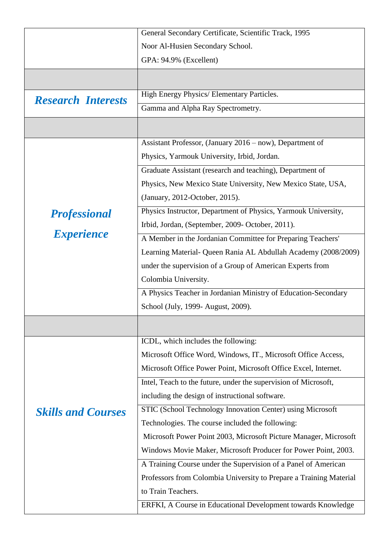|                           | General Secondary Certificate, Scientific Track, 1995              |  |
|---------------------------|--------------------------------------------------------------------|--|
|                           | Noor Al-Husien Secondary School.                                   |  |
|                           | GPA: 94.9% (Excellent)                                             |  |
|                           |                                                                    |  |
| <b>Research Interests</b> | High Energy Physics/ Elementary Particles.                         |  |
|                           | Gamma and Alpha Ray Spectrometry.                                  |  |
|                           |                                                                    |  |
|                           | Assistant Professor, (January 2016 – now), Department of           |  |
|                           | Physics, Yarmouk University, Irbid, Jordan.                        |  |
|                           | Graduate Assistant (research and teaching), Department of          |  |
|                           | Physics, New Mexico State University, New Mexico State, USA,       |  |
|                           | (January, 2012-October, 2015).                                     |  |
| <b>Professional</b>       | Physics Instructor, Department of Physics, Yarmouk University,     |  |
|                           | Irbid, Jordan, (September, 2009- October, 2011).                   |  |
| <b>Experience</b>         | A Member in the Jordanian Committee for Preparing Teachers'        |  |
|                           | Learning Material- Queen Rania AL Abdullah Academy (2008/2009)     |  |
|                           | under the supervision of a Group of American Experts from          |  |
|                           | Colombia University.                                               |  |
|                           | A Physics Teacher in Jordanian Ministry of Education-Secondary     |  |
|                           | School (July, 1999- August, 2009).                                 |  |
|                           |                                                                    |  |
|                           | ICDL, which includes the following:                                |  |
|                           | Microsoft Office Word, Windows, IT., Microsoft Office Access,      |  |
|                           | Microsoft Office Power Point, Microsoft Office Excel, Internet.    |  |
|                           | Intel, Teach to the future, under the supervision of Microsoft,    |  |
|                           | including the design of instructional software.                    |  |
| <b>Skills and Courses</b> | STIC (School Technology Innovation Center) using Microsoft         |  |
|                           | Technologies. The course included the following:                   |  |
|                           | Microsoft Power Point 2003, Microsoft Picture Manager, Microsoft   |  |
|                           | Windows Movie Maker, Microsoft Producer for Power Point, 2003.     |  |
|                           | A Training Course under the Supervision of a Panel of American     |  |
|                           | Professors from Colombia University to Prepare a Training Material |  |
|                           | to Train Teachers.                                                 |  |
|                           | ERFKI, A Course in Educational Development towards Knowledge       |  |
|                           |                                                                    |  |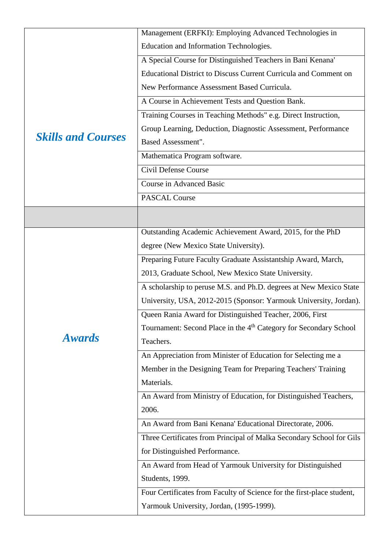|                           | Management (ERFKI): Employing Advanced Technologies in                        |
|---------------------------|-------------------------------------------------------------------------------|
|                           | Education and Information Technologies.                                       |
|                           | A Special Course for Distinguished Teachers in Bani Kenana'                   |
|                           | Educational District to Discuss Current Curricula and Comment on              |
|                           | New Performance Assessment Based Curricula.                                   |
|                           | A Course in Achievement Tests and Question Bank.                              |
|                           | Training Courses in Teaching Methods" e.g. Direct Instruction,                |
|                           | Group Learning, Deduction, Diagnostic Assessment, Performance                 |
| <b>Skills and Courses</b> | <b>Based Assessment".</b>                                                     |
|                           | Mathematica Program software.                                                 |
|                           | Civil Defense Course                                                          |
|                           | <b>Course in Advanced Basic</b>                                               |
|                           | <b>PASCAL Course</b>                                                          |
|                           |                                                                               |
|                           | Outstanding Academic Achievement Award, 2015, for the PhD                     |
|                           | degree (New Mexico State University).                                         |
|                           | Preparing Future Faculty Graduate Assistantship Award, March,                 |
|                           | 2013, Graduate School, New Mexico State University.                           |
|                           | A scholarship to peruse M.S. and Ph.D. degrees at New Mexico State            |
|                           | University, USA, 2012-2015 (Sponsor: Yarmouk University, Jordan).             |
|                           | Queen Rania Award for Distinguished Teacher, 2006, First                      |
|                           | Tournament: Second Place in the 4 <sup>th</sup> Category for Secondary School |
| <b>Awards</b>             | Teachers.                                                                     |
|                           | An Appreciation from Minister of Education for Selecting me a                 |
|                           | Member in the Designing Team for Preparing Teachers' Training                 |
|                           | Materials.                                                                    |
|                           | An Award from Ministry of Education, for Distinguished Teachers,              |
|                           | 2006.                                                                         |
|                           | An Award from Bani Kenana' Educational Directorate, 2006.                     |
|                           | Three Certificates from Principal of Malka Secondary School for Gils          |
|                           | for Distinguished Performance.                                                |
|                           | An Award from Head of Yarmouk University for Distinguished                    |
|                           | Students, 1999.                                                               |
|                           | Four Certificates from Faculty of Science for the first-place student,        |
|                           | Yarmouk University, Jordan, (1995-1999).                                      |
|                           |                                                                               |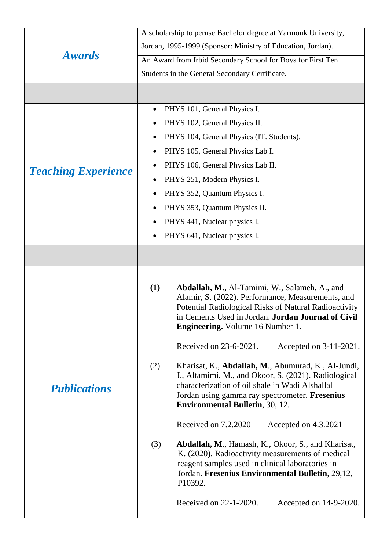| <b>Awards</b>              | A scholarship to peruse Bachelor degree at Yarmouk University,                                                  |  |
|----------------------------|-----------------------------------------------------------------------------------------------------------------|--|
|                            | Jordan, 1995-1999 (Sponsor: Ministry of Education, Jordan).                                                     |  |
|                            | An Award from Irbid Secondary School for Boys for First Ten                                                     |  |
|                            | Students in the General Secondary Certificate.                                                                  |  |
|                            |                                                                                                                 |  |
|                            | PHYS 101, General Physics I.<br>٠                                                                               |  |
|                            | PHYS 102, General Physics II.                                                                                   |  |
|                            | PHYS 104, General Physics (IT. Students).                                                                       |  |
|                            | PHYS 105, General Physics Lab I.<br>$\bullet$                                                                   |  |
|                            | PHYS 106, General Physics Lab II.                                                                               |  |
| <b>Teaching Experience</b> | PHYS 251, Modern Physics I.<br>$\bullet$                                                                        |  |
|                            | PHYS 352, Quantum Physics I.                                                                                    |  |
|                            | PHYS 353, Quantum Physics II.                                                                                   |  |
|                            | PHYS 441, Nuclear physics I.                                                                                    |  |
|                            | PHYS 641, Nuclear physics I.                                                                                    |  |
|                            |                                                                                                                 |  |
|                            |                                                                                                                 |  |
|                            |                                                                                                                 |  |
|                            | Abdallah, M., Al-Tamimi, W., Salameh, A., and<br>(1)<br>Alamir, S. (2022). Performance, Measurements, and       |  |
|                            | Potential Radiological Risks of Natural Radioactivity                                                           |  |
|                            | in Cements Used in Jordan. Jordan Journal of Civil<br><b>Engineering.</b> Volume 16 Number 1.                   |  |
|                            |                                                                                                                 |  |
|                            | Received on 23-6-2021.<br>Accepted on 3-11-2021.                                                                |  |
|                            | Kharisat, K., Abdallah, M., Abumurad, K., Al-Jundi,<br>(2)                                                      |  |
| <b>Publications</b>        | J., Altamimi, M., and Okoor, S. (2021). Radiological<br>characterization of oil shale in Wadi Alshallal -       |  |
|                            | Jordan using gamma ray spectrometer. Fresenius                                                                  |  |
|                            | <b>Environmental Bulletin, 30, 12.</b>                                                                          |  |
|                            | Received on 7.2.2020<br>Accepted on 4.3.2021                                                                    |  |
|                            | (3)<br><b>Abdallah, M., Hamash, K., Okoor, S., and Kharisat,</b>                                                |  |
|                            | K. (2020). Radioactivity measurements of medical                                                                |  |
|                            | reagent samples used in clinical laboratories in<br>Jordan. Fresenius Environmental Bulletin, 29,12,<br>P10392. |  |
|                            | Received on 22-1-2020.<br>Accepted on 14-9-2020.                                                                |  |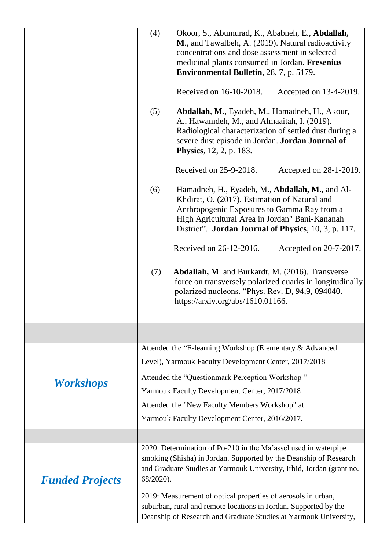|                        | (4)<br>Okoor, S., Abumurad, K., Ababneh, E., Abdallah,                                                                                                                                                                                                           |  |
|------------------------|------------------------------------------------------------------------------------------------------------------------------------------------------------------------------------------------------------------------------------------------------------------|--|
|                        | M., and Tawalbeh, A. (2019). Natural radioactivity                                                                                                                                                                                                               |  |
|                        | concentrations and dose assessment in selected                                                                                                                                                                                                                   |  |
|                        | medicinal plants consumed in Jordan. Fresenius                                                                                                                                                                                                                   |  |
|                        | <b>Environmental Bulletin</b> , 28, 7, p. 5179.                                                                                                                                                                                                                  |  |
|                        | Received on 16-10-2018.<br>Accepted on 13-4-2019.                                                                                                                                                                                                                |  |
|                        | Abdallah, M., Eyadeh, M., Hamadneh, H., Akour,<br>(5)<br>A., Hawamdeh, M., and Almaaitah, I. (2019).<br>Radiological characterization of settled dust during a<br>severe dust episode in Jordan. Jordan Journal of<br><b>Physics</b> , 12, 2, p. 183.            |  |
|                        | Received on 25-9-2018.<br>Accepted on 28-1-2019.                                                                                                                                                                                                                 |  |
|                        | Hamadneh, H., Eyadeh, M., Abdallah, M., and Al-<br>(6)<br>Khdirat, O. (2017). Estimation of Natural and<br>Anthropogenic Exposures to Gamma Ray from a<br>High Agricultural Area in Jordan" Bani-Kananah<br>District". Jordan Journal of Physics, 10, 3, p. 117. |  |
|                        | Received on 26-12-2016.<br>Accepted on 20-7-2017.                                                                                                                                                                                                                |  |
|                        | (7)<br><b>Abdallah, M.</b> and Burkardt, M. (2016). Transverse<br>force on transversely polarized quarks in longitudinally<br>polarized nucleons. "Phys. Rev. D, 94,9, 094040.<br>https://arxiv.org/abs/1610.01166.                                              |  |
|                        |                                                                                                                                                                                                                                                                  |  |
|                        | Attended the "E-learning Workshop (Elementary & Advanced                                                                                                                                                                                                         |  |
|                        | Level), Yarmouk Faculty Development Center, 2017/2018                                                                                                                                                                                                            |  |
| <b>Workshops</b>       | Attended the "Questionmark Perception Workshop"                                                                                                                                                                                                                  |  |
|                        | Yarmouk Faculty Development Center, 2017/2018                                                                                                                                                                                                                    |  |
|                        | Attended the "New Faculty Members Workshop" at                                                                                                                                                                                                                   |  |
|                        | Yarmouk Faculty Development Center, 2016/2017.                                                                                                                                                                                                                   |  |
|                        |                                                                                                                                                                                                                                                                  |  |
|                        | 2020: Determination of Po-210 in the Ma'assel used in waterpipe                                                                                                                                                                                                  |  |
|                        | smoking (Shisha) in Jordan. Supported by the Deanship of Research                                                                                                                                                                                                |  |
| <b>Funded Projects</b> | and Graduate Studies at Yarmouk University, Irbid, Jordan (grant no.<br>68/2020).                                                                                                                                                                                |  |
|                        | 2019: Measurement of optical properties of aerosols in urban,                                                                                                                                                                                                    |  |
|                        | suburban, rural and remote locations in Jordan. Supported by the                                                                                                                                                                                                 |  |
|                        | Deanship of Research and Graduate Studies at Yarmouk University,                                                                                                                                                                                                 |  |